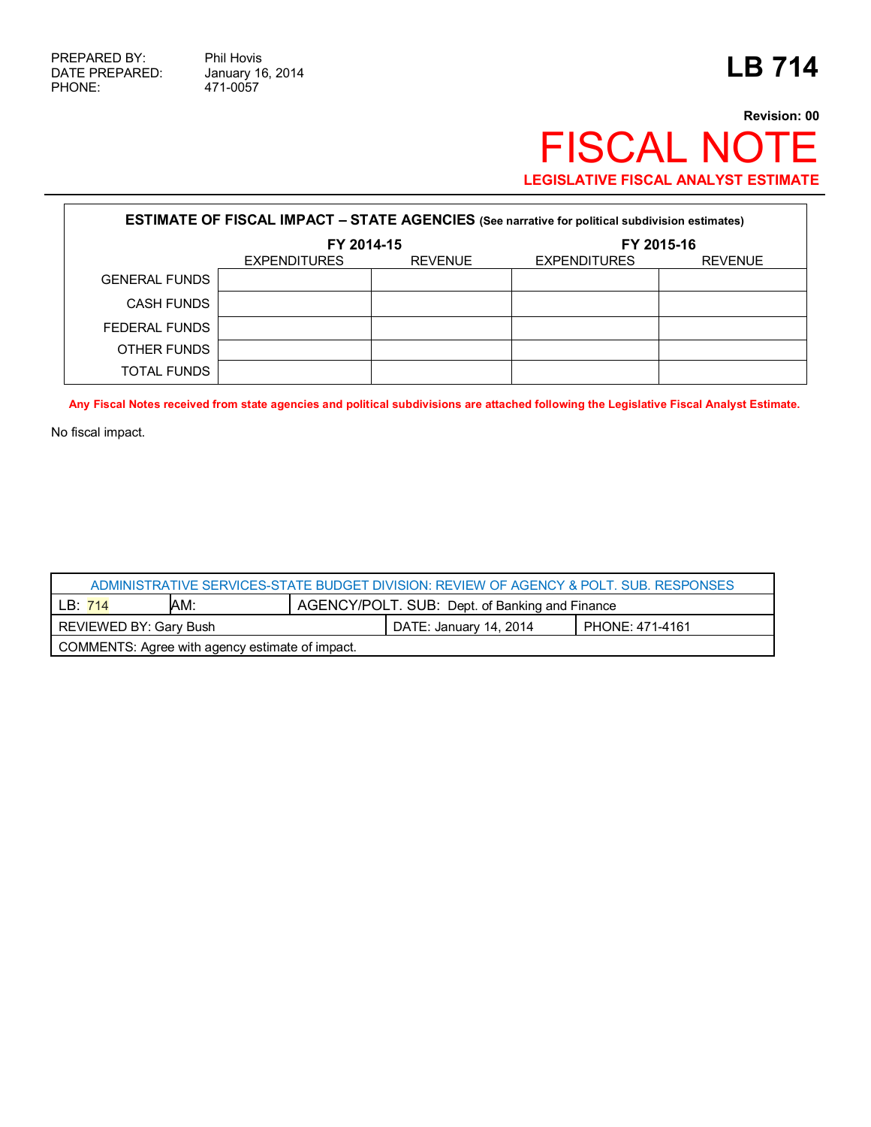471-0057

## **Revision: 00** FISCAL NOTE **LEGISLATIVE FISCAL ANALYST ESTIMATE**

| <b>ESTIMATE OF FISCAL IMPACT - STATE AGENCIES</b> (See narrative for political subdivision estimates) |                     |                |                     |                |  |
|-------------------------------------------------------------------------------------------------------|---------------------|----------------|---------------------|----------------|--|
|                                                                                                       | FY 2014-15          |                | FY 2015-16          |                |  |
|                                                                                                       | <b>EXPENDITURES</b> | <b>REVENUE</b> | <b>EXPENDITURES</b> | <b>REVENUE</b> |  |
| <b>GENERAL FUNDS</b>                                                                                  |                     |                |                     |                |  |
| <b>CASH FUNDS</b>                                                                                     |                     |                |                     |                |  |
| FEDERAL FUNDS                                                                                         |                     |                |                     |                |  |
| OTHER FUNDS                                                                                           |                     |                |                     |                |  |
| <b>TOTAL FUNDS</b>                                                                                    |                     |                |                     |                |  |

**Any Fiscal Notes received from state agencies and political subdivisions are attached following the Legislative Fiscal Analyst Estimate.**

No fiscal impact.

| ADMINISTRATIVE SERVICES-STATE BUDGET DIVISION: REVIEW OF AGENCY & POLT, SUB, RESPONSES |     |                                                |                        |                 |  |
|----------------------------------------------------------------------------------------|-----|------------------------------------------------|------------------------|-----------------|--|
| LB: 714                                                                                | AM: | AGENCY/POLT. SUB: Dept. of Banking and Finance |                        |                 |  |
| REVIEWED BY: Gary Bush                                                                 |     |                                                | DATE: January 14, 2014 | PHONE: 471-4161 |  |
| COMMENTS: Agree with agency estimate of impact.                                        |     |                                                |                        |                 |  |